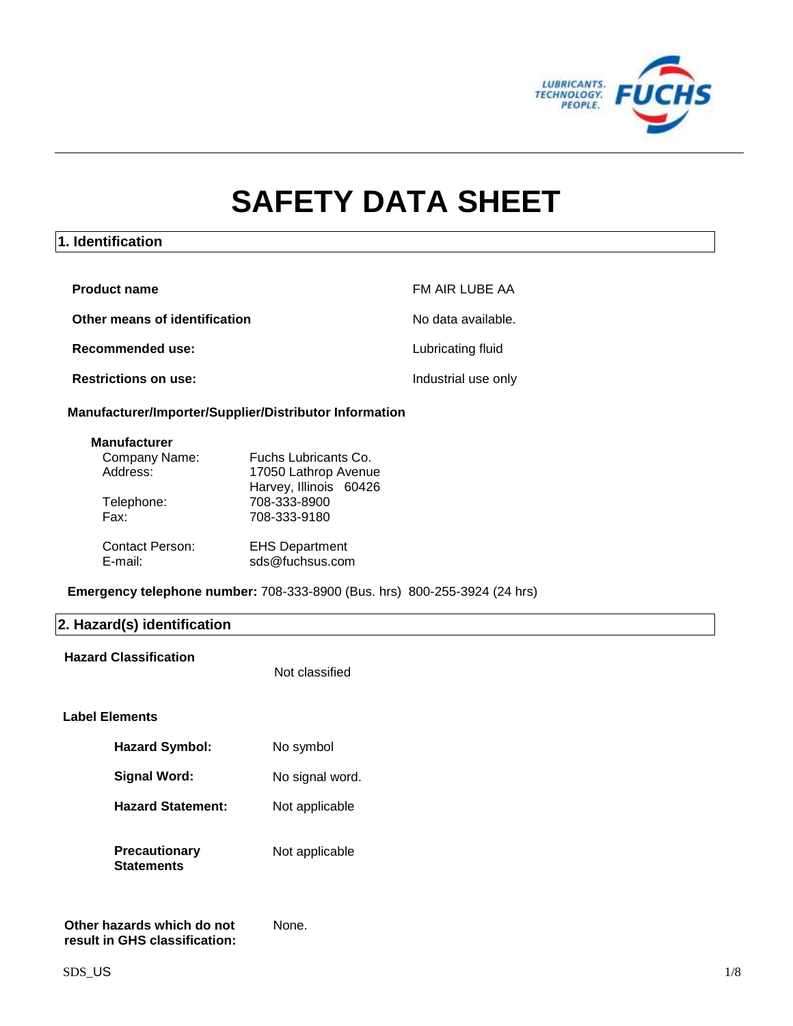

# **SAFETY DATA SHEET**

# **1. Identification**

| <b>Product name</b>           | FM AIR LUBE AA      |
|-------------------------------|---------------------|
| Other means of identification | No data available.  |
| Recommended use:              | Lubricating fluid   |
| <b>Restrictions on use:</b>   | Industrial use only |

## **Manufacturer/Importer/Supplier/Distributor Information**

#### **Manufacturer**

| Company Name:          | Fuchs Lubricants Co.   |
|------------------------|------------------------|
| Address:               | 17050 Lathrop Avenue   |
|                        | Harvey, Illinois 60426 |
| Telephone:             | 708-333-8900           |
| Fax:                   | 708-333-9180           |
|                        |                        |
| <b>Contact Person:</b> | <b>EHS Department</b>  |
| E-mail:                | sds@fuchsus.com        |
|                        |                        |

**Emergency telephone number:** 708-333-8900 (Bus. hrs) 800-255-3924 (24 hrs)

# **2. Hazard(s) identification**

#### **Hazard Classification**

Not classified

None.

## **Label Elements**

| <b>Hazard Symbol:</b>                     | No symbol       |
|-------------------------------------------|-----------------|
| <b>Signal Word:</b>                       | No signal word. |
| <b>Hazard Statement:</b>                  | Not applicable  |
| <b>Precautionary</b><br><b>Statements</b> | Not applicable  |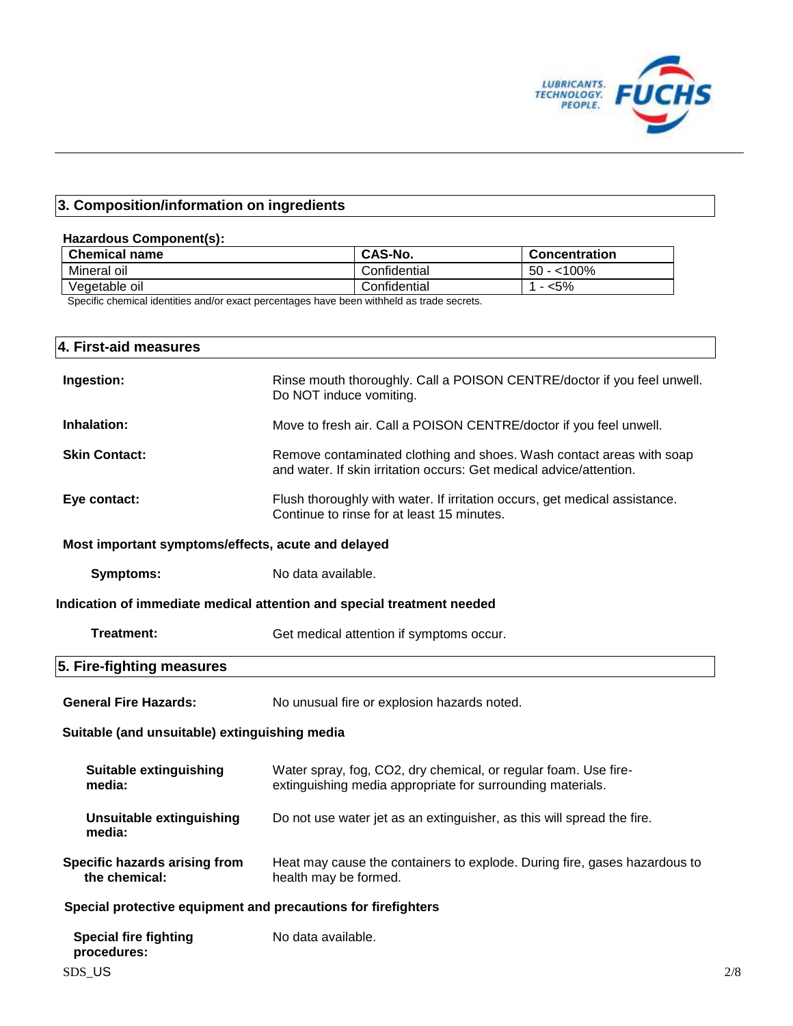

# **3. Composition/information on ingredients**

# **Hazardous Component(s):**

| <b>Chemical name</b> | CAS-No.      | <b>Concentration</b> |
|----------------------|--------------|----------------------|
| Mineral oil          | Confidential | $-$ <100%<br>50      |
| √eɑetable oil        | Confidential | <5%<br>-             |

Specific chemical identities and/or exact percentages have been withheld as trade secrets.

| 4. First-aid measures                                                       |                                                                                                                                             |  |  |
|-----------------------------------------------------------------------------|---------------------------------------------------------------------------------------------------------------------------------------------|--|--|
| Ingestion:                                                                  | Rinse mouth thoroughly. Call a POISON CENTRE/doctor if you feel unwell.<br>Do NOT induce vomiting.                                          |  |  |
| Inhalation:                                                                 | Move to fresh air. Call a POISON CENTRE/doctor if you feel unwell.                                                                          |  |  |
| <b>Skin Contact:</b>                                                        | Remove contaminated clothing and shoes. Wash contact areas with soap<br>and water. If skin irritation occurs: Get medical advice/attention. |  |  |
| Eye contact:                                                                | Flush thoroughly with water. If irritation occurs, get medical assistance.<br>Continue to rinse for at least 15 minutes.                    |  |  |
| Most important symptoms/effects, acute and delayed                          |                                                                                                                                             |  |  |
| <b>Symptoms:</b>                                                            | No data available.                                                                                                                          |  |  |
| Indication of immediate medical attention and special treatment needed      |                                                                                                                                             |  |  |
| <b>Treatment:</b>                                                           | Get medical attention if symptoms occur.                                                                                                    |  |  |
| 5. Fire-fighting measures                                                   |                                                                                                                                             |  |  |
| <b>General Fire Hazards:</b><br>No unusual fire or explosion hazards noted. |                                                                                                                                             |  |  |
| Suitable (and unsuitable) extinguishing media                               |                                                                                                                                             |  |  |
| <b>Suitable extinguishing</b><br>media:                                     | Water spray, fog, CO2, dry chemical, or regular foam. Use fire-<br>extinguishing media appropriate for surrounding materials.               |  |  |
| <b>Unsuitable extinguishing</b><br>media:                                   | Do not use water jet as an extinguisher, as this will spread the fire.                                                                      |  |  |
| Specific hazards arising from<br>the chemical:                              | Heat may cause the containers to explode. During fire, gases hazardous to<br>health may be formed.                                          |  |  |
| Special protective equipment and precautions for firefighters               |                                                                                                                                             |  |  |
| <b>Special fire fighting</b><br>procedures:                                 | No data available.                                                                                                                          |  |  |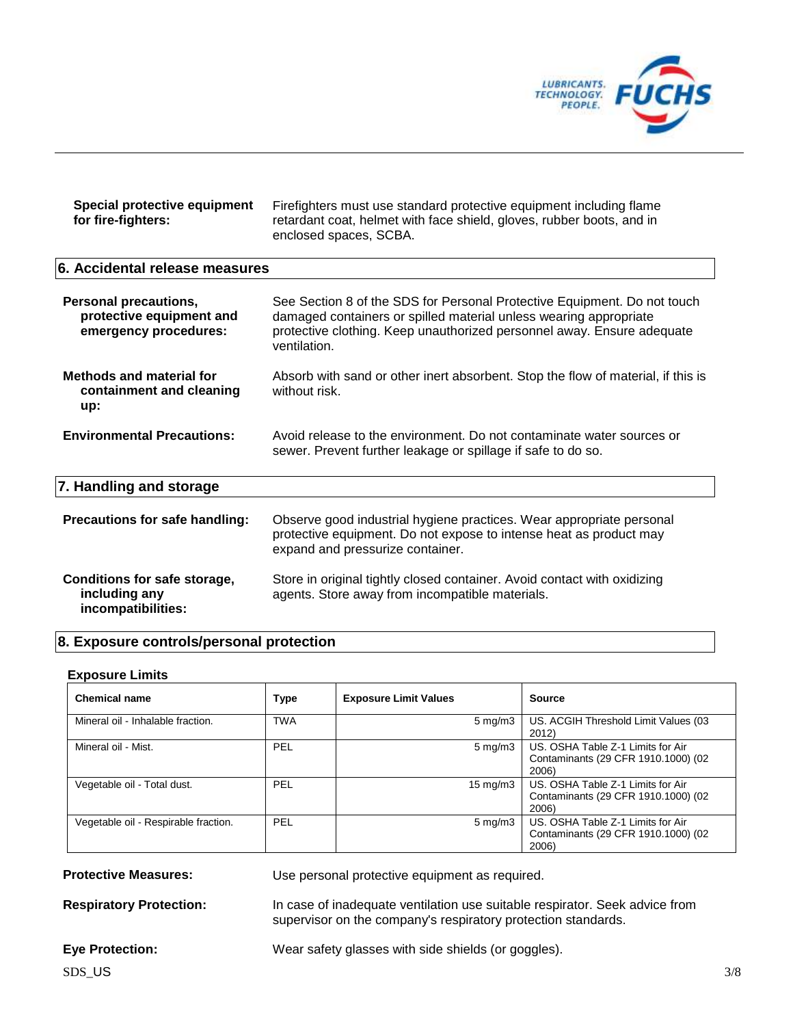

| Special protective equipment<br>for fire-fighters:                                | Firefighters must use standard protective equipment including flame<br>retardant coat, helmet with face shield, gloves, rubber boots, and in<br>enclosed spaces, SCBA.                                                                  |
|-----------------------------------------------------------------------------------|-----------------------------------------------------------------------------------------------------------------------------------------------------------------------------------------------------------------------------------------|
| 6. Accidental release measures                                                    |                                                                                                                                                                                                                                         |
| <b>Personal precautions,</b><br>protective equipment and<br>emergency procedures: | See Section 8 of the SDS for Personal Protective Equipment. Do not touch<br>damaged containers or spilled material unless wearing appropriate<br>protective clothing. Keep unauthorized personnel away. Ensure adequate<br>ventilation. |
| <b>Methods and material for</b><br>containment and cleaning<br>up:                | Absorb with sand or other inert absorbent. Stop the flow of material, if this is<br>without risk.                                                                                                                                       |
| <b>Environmental Precautions:</b>                                                 | Avoid release to the environment. Do not contaminate water sources or<br>sewer. Prevent further leakage or spillage if safe to do so.                                                                                                   |
| 7. Handling and storage                                                           |                                                                                                                                                                                                                                         |
| Precautions for safe handling:                                                    | Observe good industrial hygiene practices. Wear appropriate personal<br>protective equipment. Do not expose to intense heat as product may<br>expand and pressurize container.                                                          |
| Conditions for safe storage,<br>including any<br>incompatibilities:               | Store in original tightly closed container. Avoid contact with oxidizing<br>agents. Store away from incompatible materials.                                                                                                             |

# **8. Exposure controls/personal protection**

#### **Exposure Limits**

| <b>Chemical name</b>                 | <b>Type</b> | <b>Exposure Limit Values</b> | <b>Source</b>                                                                     |
|--------------------------------------|-------------|------------------------------|-----------------------------------------------------------------------------------|
| Mineral oil - Inhalable fraction.    | <b>TWA</b>  | $5 \text{ mg/m}$             | US. ACGIH Threshold Limit Values (03<br>2012)                                     |
| Mineral oil - Mist.                  | PEL         | $5 \text{ mg/m}$ 3           | US. OSHA Table Z-1 Limits for Air<br>Contaminants (29 CFR 1910.1000) (02<br>2006) |
| Vegetable oil - Total dust.          | PEL         | $15 \text{ mg/m}$            | US. OSHA Table Z-1 Limits for Air<br>Contaminants (29 CFR 1910.1000) (02<br>2006) |
| Vegetable oil - Respirable fraction. | PEL         | $5 \text{ mg/m}$             | US, OSHA Table Z-1 Limits for Air<br>Contaminants (29 CFR 1910.1000) (02<br>2006) |

**Protective Measures:** Use personal protective equipment as required.

**Respiratory Protection:** In case of inadequate ventilation use suitable respirator. Seek advice from supervisor on the company's respiratory protection standards.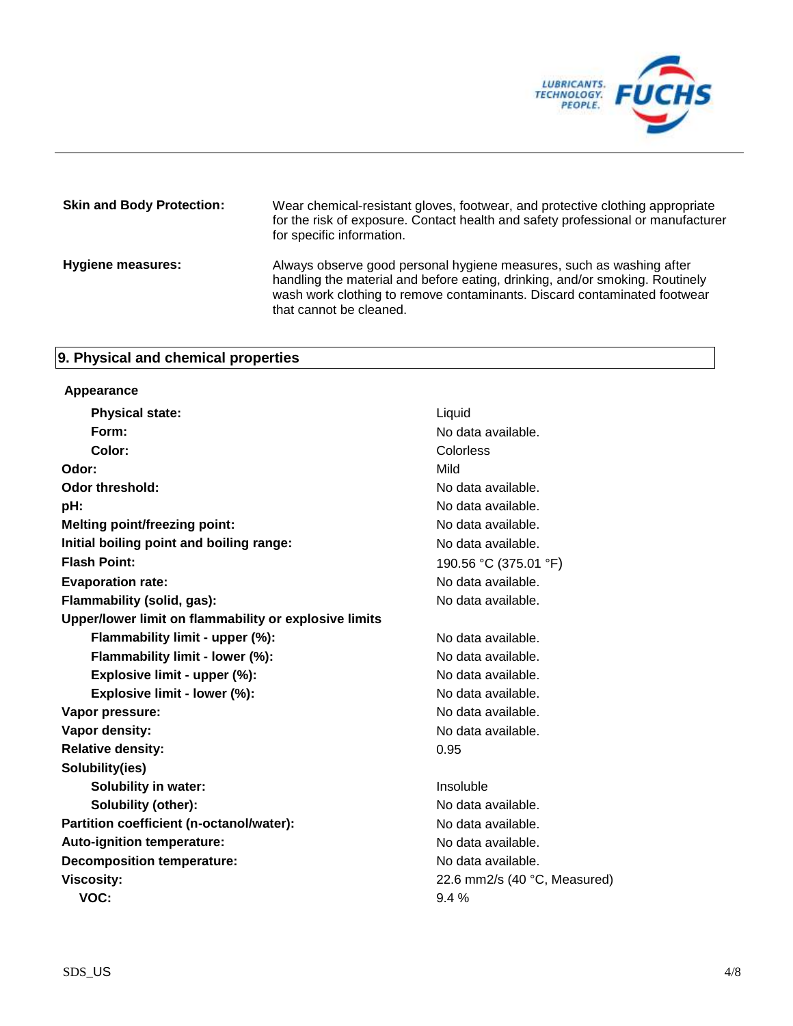

| <b>Skin and Body Protection:</b> | Wear chemical-resistant gloves, footwear, and protective clothing appropriate<br>for the risk of exposure. Contact health and safety professional or manufacturer<br>for specific information.                                                              |
|----------------------------------|-------------------------------------------------------------------------------------------------------------------------------------------------------------------------------------------------------------------------------------------------------------|
| <b>Hygiene measures:</b>         | Always observe good personal hygiene measures, such as washing after<br>handling the material and before eating, drinking, and/or smoking. Routinely<br>wash work clothing to remove contaminants. Discard contaminated footwear<br>that cannot be cleaned. |

# **9. Physical and chemical properties**

## **Appearance**

| <b>Physical state:</b>                                | Liquid                          |
|-------------------------------------------------------|---------------------------------|
| Form:                                                 | No data available.              |
| Color:                                                | Colorless                       |
| Odor:                                                 | Mild                            |
| <b>Odor threshold:</b>                                | No data available.              |
| pH:                                                   | No data available.              |
| <b>Melting point/freezing point:</b>                  | No data available.              |
| Initial boiling point and boiling range:              | No data available.              |
| <b>Flash Point:</b>                                   | 190.56 °C (375.01 °F)           |
| <b>Evaporation rate:</b>                              | No data available.              |
| Flammability (solid, gas):                            | No data available.              |
| Upper/lower limit on flammability or explosive limits |                                 |
| Flammability limit - upper (%):                       | No data available.              |
| Flammability limit - lower (%):                       | No data available.              |
| Explosive limit - upper (%):                          | No data available.              |
| Explosive limit - lower (%):                          | No data available.              |
| Vapor pressure:                                       | No data available.              |
| Vapor density:                                        | No data available.              |
| <b>Relative density:</b>                              | 0.95                            |
| Solubility(ies)                                       |                                 |
| <b>Solubility in water:</b>                           | Insoluble                       |
| <b>Solubility (other):</b>                            | No data available.              |
| Partition coefficient (n-octanol/water):              | No data available.              |
| Auto-ignition temperature:                            | No data available.              |
| <b>Decomposition temperature:</b>                     | No data available.              |
| <b>Viscosity:</b>                                     | 22.6 mm2/s (40 $°C$ , Measured) |
| VOC:                                                  | 9.4%                            |
|                                                       |                                 |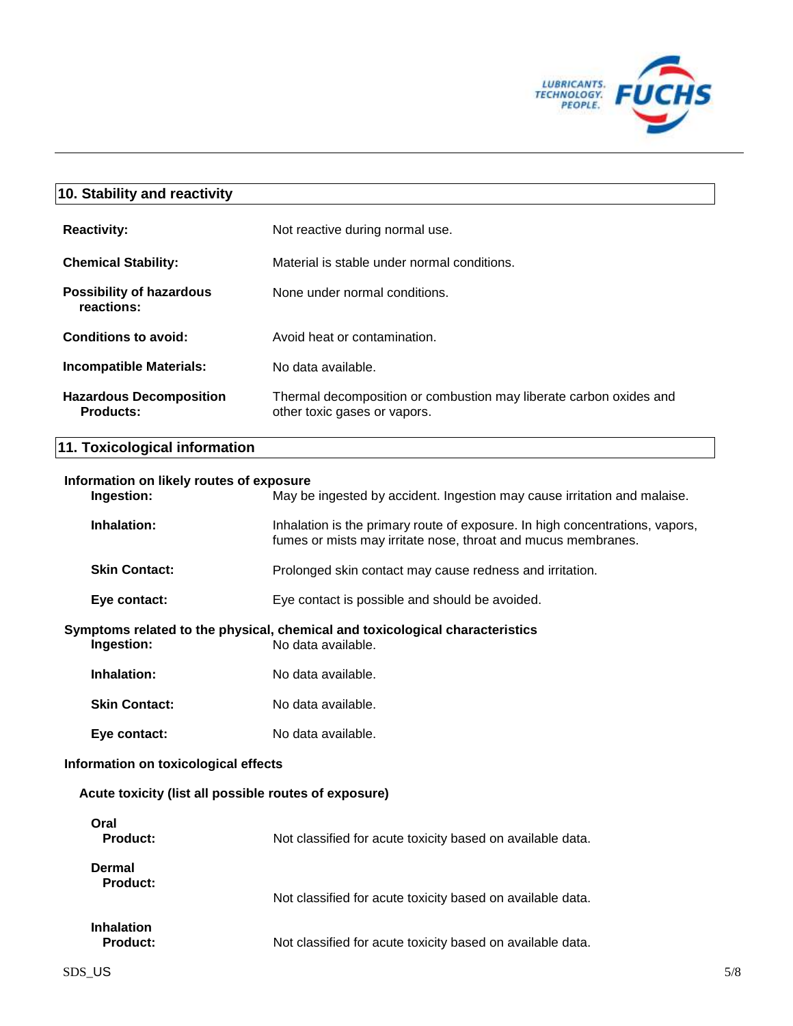

# **10. Stability and reactivity Reactivity:** Not reactive during normal use. **Chemical Stability:** Material is stable under normal conditions. **Possibility of hazardous reactions:** None under normal conditions. **Conditions to avoid:** Avoid heat or contamination. **Incompatible Materials:** No data available. **Hazardous Decomposition Products:** Thermal decomposition or combustion may liberate carbon oxides and other toxic gases or vapors.

# **11. Toxicological information**

#### **Information on likely routes of exposure**

| Ingestion:                                            | May be ingested by accident. Ingestion may cause irritation and malaise.                                                                      |     |
|-------------------------------------------------------|-----------------------------------------------------------------------------------------------------------------------------------------------|-----|
| Inhalation:                                           | Inhalation is the primary route of exposure. In high concentrations, vapors,<br>fumes or mists may irritate nose, throat and mucus membranes. |     |
| <b>Skin Contact:</b>                                  | Prolonged skin contact may cause redness and irritation.                                                                                      |     |
| Eye contact:                                          | Eye contact is possible and should be avoided.                                                                                                |     |
| Ingestion:                                            | Symptoms related to the physical, chemical and toxicological characteristics<br>No data available.                                            |     |
| Inhalation:                                           | No data available.                                                                                                                            |     |
| <b>Skin Contact:</b>                                  | No data available.                                                                                                                            |     |
| Eye contact:                                          | No data available.                                                                                                                            |     |
| Information on toxicological effects                  |                                                                                                                                               |     |
| Acute toxicity (list all possible routes of exposure) |                                                                                                                                               |     |
| Oral<br><b>Product:</b>                               | Not classified for acute toxicity based on available data.                                                                                    |     |
| <b>Dermal</b><br><b>Product:</b>                      | Not classified for acute toxicity based on available data.                                                                                    |     |
| <b>Inhalation</b><br><b>Product:</b>                  | Not classified for acute toxicity based on available data.                                                                                    |     |
| SDS US                                                |                                                                                                                                               | 5/8 |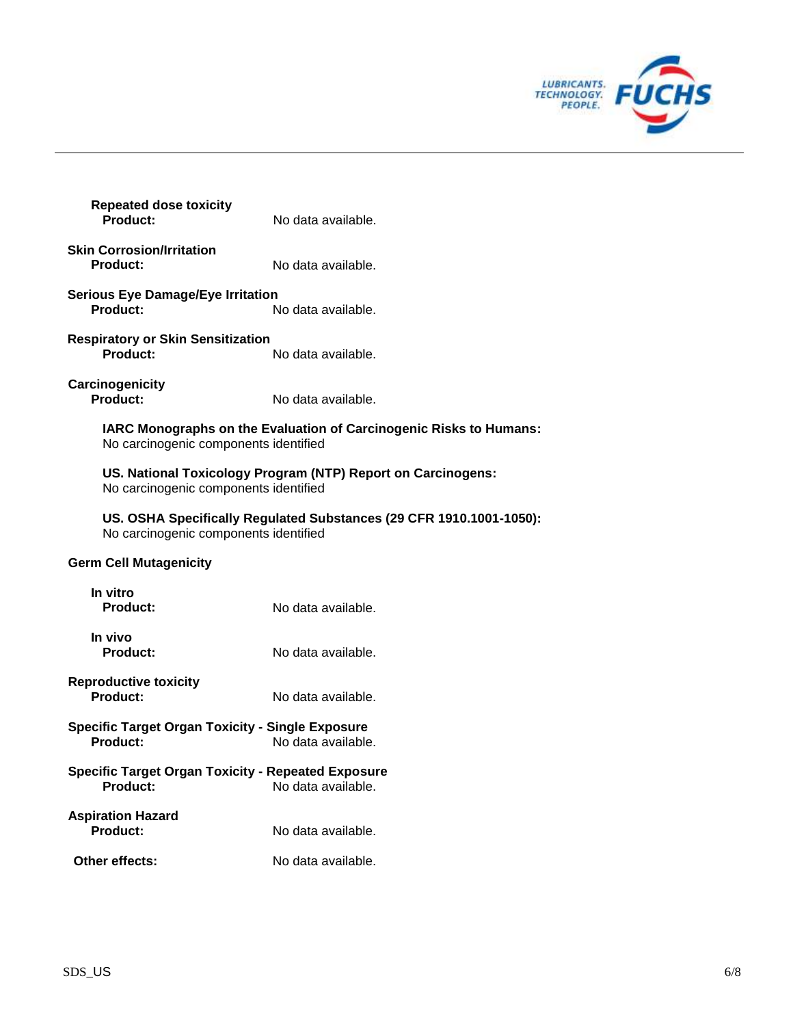

| <b>Repeated dose toxicity</b><br>Product:                                    | No data available.                                                                                           |  |  |
|------------------------------------------------------------------------------|--------------------------------------------------------------------------------------------------------------|--|--|
| <b>Skin Corrosion/Irritation</b><br><b>Product:</b>                          | No data available.                                                                                           |  |  |
| <b>Serious Eye Damage/Eye Irritation</b><br><b>Product:</b>                  | No data available.                                                                                           |  |  |
| <b>Respiratory or Skin Sensitization</b><br><b>Product:</b>                  | No data available.                                                                                           |  |  |
| Carcinogenicity<br>Product:                                                  | No data available.                                                                                           |  |  |
| No carcinogenic components identified                                        | IARC Monographs on the Evaluation of Carcinogenic Risks to Humans:                                           |  |  |
| No carcinogenic components identified                                        | US. National Toxicology Program (NTP) Report on Carcinogens:                                                 |  |  |
|                                                                              | US. OSHA Specifically Regulated Substances (29 CFR 1910.1001-1050):<br>No carcinogenic components identified |  |  |
| <b>Germ Cell Mutagenicity</b>                                                |                                                                                                              |  |  |
| In vitro<br><b>Product:</b>                                                  | No data available.                                                                                           |  |  |
| In vivo<br><b>Product:</b>                                                   | No data available.                                                                                           |  |  |
| <b>Reproductive toxicity</b><br>Product:                                     | No data available.                                                                                           |  |  |
| <b>Specific Target Organ Toxicity - Single Exposure</b><br><b>Product:</b>   | No data available.                                                                                           |  |  |
| <b>Specific Target Organ Toxicity - Repeated Exposure</b><br><b>Product:</b> | No data available.                                                                                           |  |  |
| <b>Aspiration Hazard</b><br><b>Product:</b>                                  | No data available.                                                                                           |  |  |
| Other effects:                                                               | No data available.                                                                                           |  |  |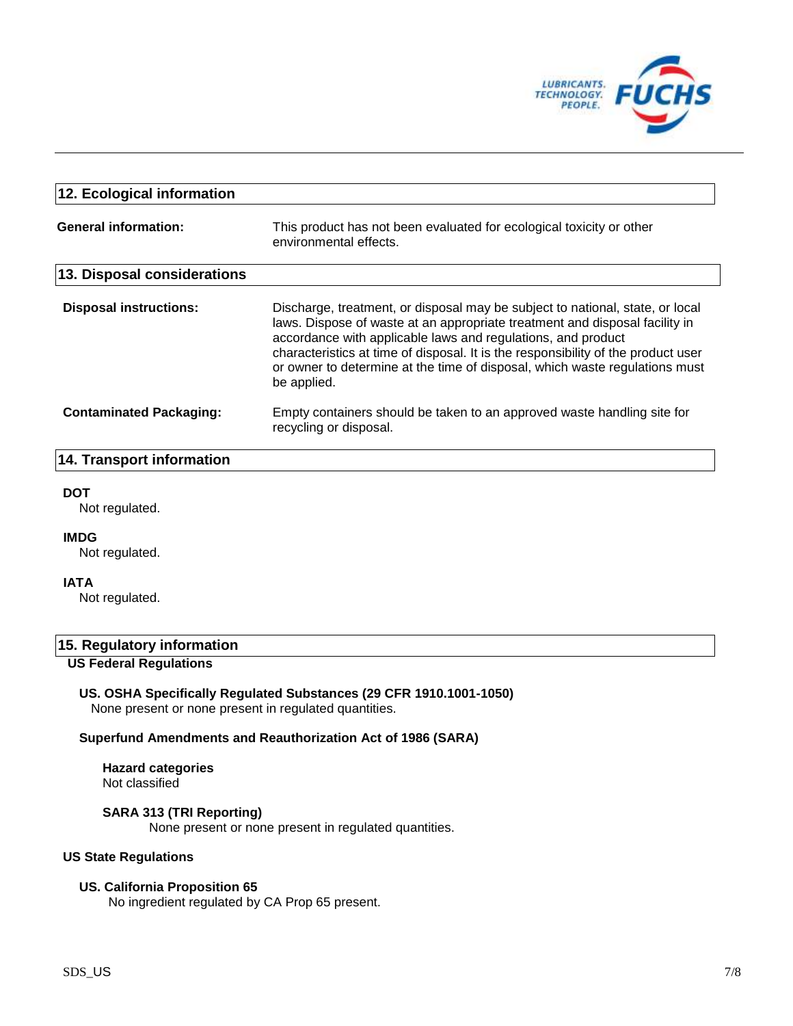

| 12. Ecological information     |                                                                                                                                                                                                                                                                                                                                                                                                                 |  |  |
|--------------------------------|-----------------------------------------------------------------------------------------------------------------------------------------------------------------------------------------------------------------------------------------------------------------------------------------------------------------------------------------------------------------------------------------------------------------|--|--|
| <b>General information:</b>    | This product has not been evaluated for ecological toxicity or other<br>environmental effects.                                                                                                                                                                                                                                                                                                                  |  |  |
| 13. Disposal considerations    |                                                                                                                                                                                                                                                                                                                                                                                                                 |  |  |
| <b>Disposal instructions:</b>  | Discharge, treatment, or disposal may be subject to national, state, or local<br>laws. Dispose of waste at an appropriate treatment and disposal facility in<br>accordance with applicable laws and regulations, and product<br>characteristics at time of disposal. It is the responsibility of the product user<br>or owner to determine at the time of disposal, which waste regulations must<br>be applied. |  |  |
| <b>Contaminated Packaging:</b> | Empty containers should be taken to an approved waste handling site for<br>recycling or disposal.                                                                                                                                                                                                                                                                                                               |  |  |

## **14. Transport information**

#### **DOT**

Not regulated.

#### **IMDG**

Not regulated.

## **IATA**

Not regulated.

## **15. Regulatory information**

## **US Federal Regulations**

## **US. OSHA Specifically Regulated Substances (29 CFR 1910.1001-1050)**

None present or none present in regulated quantities.

#### **Superfund Amendments and Reauthorization Act of 1986 (SARA)**

#### **Hazard categories** Not classified

# **SARA 313 (TRI Reporting)**

None present or none present in regulated quantities.

## **US State Regulations**

## **US. California Proposition 65**

No ingredient regulated by CA Prop 65 present.